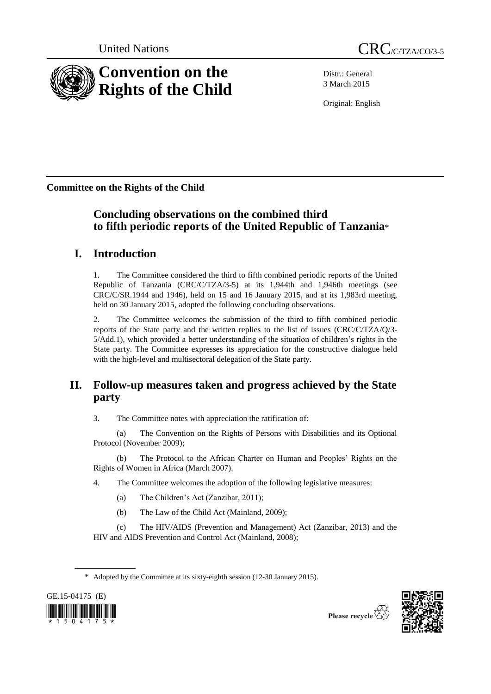

Distr.: General 3 March 2015

Original: English

**Committee on the Rights of the Child**

# **Concluding observations on the combined third to fifth periodic reports of the United Republic of Tanzania**\*

# **I. Introduction**

1. The Committee considered the third to fifth combined periodic reports of the United Republic of Tanzania (CRC/C/TZA/3-5) at its 1,944th and 1,946th meetings (see CRC/C/SR.1944 and 1946), held on 15 and 16 January 2015, and at its 1,983rd meeting, held on 30 January 2015, adopted the following concluding observations.

2. The Committee welcomes the submission of the third to fifth combined periodic reports of the State party and the written replies to the list of issues (CRC/C/TZA/Q/3- 5/Add.1), which provided a better understanding of the situation of children's rights in the State party. The Committee expresses its appreciation for the constructive dialogue held with the high-level and multisectoral delegation of the State party.

# **II. Follow-up measures taken and progress achieved by the State party**

3. The Committee notes with appreciation the ratification of:

(a) The Convention on the Rights of Persons with Disabilities and its Optional Protocol (November 2009);

(b) The Protocol to the African Charter on Human and Peoples' Rights on the Rights of Women in Africa (March 2007).

- 4. The Committee welcomes the adoption of the following legislative measures:
	- (a) The Children's Act (Zanzibar, 2011);
	- (b) The Law of the Child Act (Mainland, 2009);

(c) The HIV/AIDS (Prevention and Management) Act (Zanzibar, 2013) and the HIV and AIDS Prevention and Control Act (Mainland, 2008);

<sup>\*</sup> Adopted by the Committee at its sixty-eighth session (12-30 January 2015).





Please recycle  $\overleftrightarrow{C}$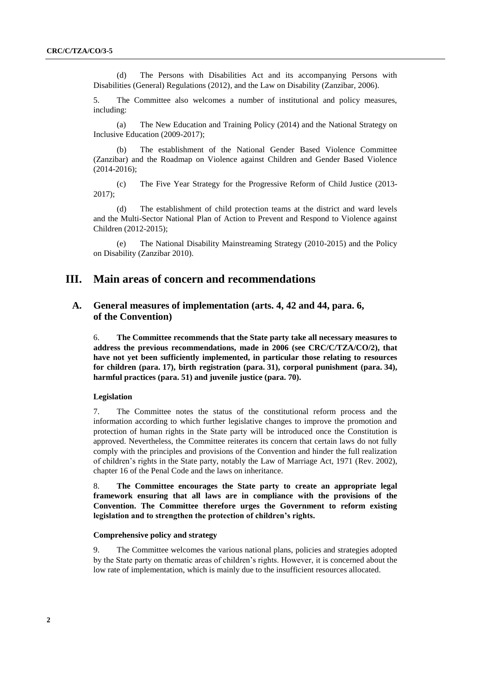(d) The Persons with Disabilities Act and its accompanying Persons with Disabilities (General) Regulations (2012), and the Law on Disability (Zanzibar, 2006).

5. The Committee also welcomes a number of institutional and policy measures, including:

(a) The New Education and Training Policy (2014) and the National Strategy on Inclusive Education (2009-2017);

(b) The establishment of the National Gender Based Violence Committee (Zanzibar) and the Roadmap on Violence against Children and Gender Based Violence (2014-2016);

(c) The Five Year Strategy for the Progressive Reform of Child Justice (2013- 2017);

(d) The establishment of child protection teams at the district and ward levels and the Multi-Sector National Plan of Action to Prevent and Respond to Violence against Children (2012-2015);

(e) The National Disability Mainstreaming Strategy (2010-2015) and the Policy on Disability (Zanzibar 2010).

## **III. Main areas of concern and recommendations**

## **A. General measures of implementation (arts. 4, 42 and 44, para. 6, of the Convention)**

6. **The Committee recommends that the State party take all necessary measures to address the previous recommendations, made in 2006 (see CRC/C/TZA/CO/2), that have not yet been sufficiently implemented, in particular those relating to resources for children (para. 17), birth registration (para. 31), corporal punishment (para. 34), harmful practices (para. 51) and juvenile justice (para. 70).**

## **Legislation**

7. The Committee notes the status of the constitutional reform process and the information according to which further legislative changes to improve the promotion and protection of human rights in the State party will be introduced once the Constitution is approved. Nevertheless, the Committee reiterates its concern that certain laws do not fully comply with the principles and provisions of the Convention and hinder the full realization of children's rights in the State party, notably the Law of Marriage Act, 1971 (Rev. 2002), chapter 16 of the Penal Code and the laws on inheritance.

8. **The Committee encourages the State party to create an appropriate legal framework ensuring that all laws are in compliance with the provisions of the Convention. The Committee therefore urges the Government to reform existing legislation and to strengthen the protection of children's rights.**

## **Comprehensive policy and strategy**

9. The Committee welcomes the various national plans, policies and strategies adopted by the State party on thematic areas of children's rights. However, it is concerned about the low rate of implementation, which is mainly due to the insufficient resources allocated.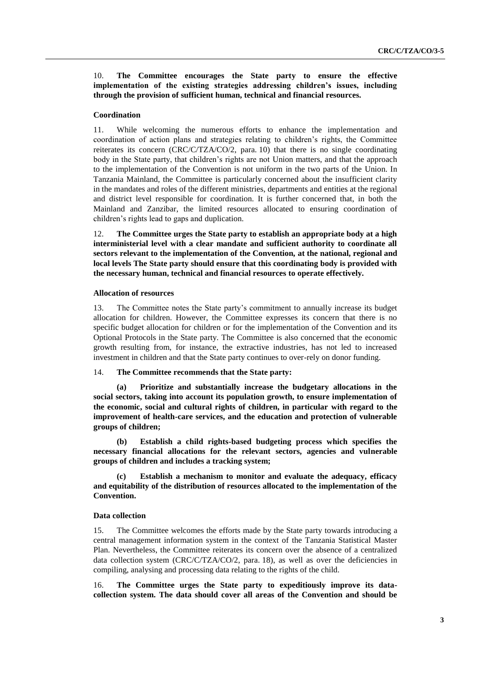10. **The Committee encourages the State party to ensure the effective implementation of the existing strategies addressing children's issues, including through the provision of sufficient human, technical and financial resources.**

#### **Coordination**

11. While welcoming the numerous efforts to enhance the implementation and coordination of action plans and strategies relating to children's rights, the Committee reiterates its concern (CRC/C/TZA/CO/2, para. 10) that there is no single coordinating body in the State party, that children's rights are not Union matters, and that the approach to the implementation of the Convention is not uniform in the two parts of the Union. In Tanzania Mainland, the Committee is particularly concerned about the insufficient clarity in the mandates and roles of the different ministries, departments and entities at the regional and district level responsible for coordination. It is further concerned that, in both the Mainland and Zanzibar, the limited resources allocated to ensuring coordination of children's rights lead to gaps and duplication.

12. **The Committee urges the State party to establish an appropriate body at a high interministerial level with a clear mandate and sufficient authority to coordinate all sectors relevant to the implementation of the Convention, at the national, regional and local levels The State party should ensure that this coordinating body is provided with the necessary human, technical and financial resources to operate effectively.** 

#### **Allocation of resources**

13. The Committee notes the State party's commitment to annually increase its budget allocation for children. However, the Committee expresses its concern that there is no specific budget allocation for children or for the implementation of the Convention and its Optional Protocols in the State party. The Committee is also concerned that the economic growth resulting from, for instance, the extractive industries, has not led to increased investment in children and that the State party continues to over-rely on donor funding.

### 14. **The Committee recommends that the State party:**

**(a) Prioritize and substantially increase the budgetary allocations in the social sectors, taking into account its population growth, to ensure implementation of the economic, social and cultural rights of children, in particular with regard to the improvement of health-care services, and the education and protection of vulnerable groups of children;**

**(b) Establish a child rights-based budgeting process which specifies the necessary financial allocations for the relevant sectors, agencies and vulnerable groups of children and includes a tracking system;** 

**(c) Establish a mechanism to monitor and evaluate the adequacy, efficacy and equitability of the distribution of resources allocated to the implementation of the Convention.** 

### **Data collection**

15. The Committee welcomes the efforts made by the State party towards introducing a central management information system in the context of the Tanzania Statistical Master Plan. Nevertheless, the Committee reiterates its concern over the absence of a centralized data collection system (CRC/C/TZA/CO/2, para. 18), as well as over the deficiencies in compiling, analysing and processing data relating to the rights of the child.

16. **The Committee urges the State party to expeditiously improve its datacollection system. The data should cover all areas of the Convention and should be**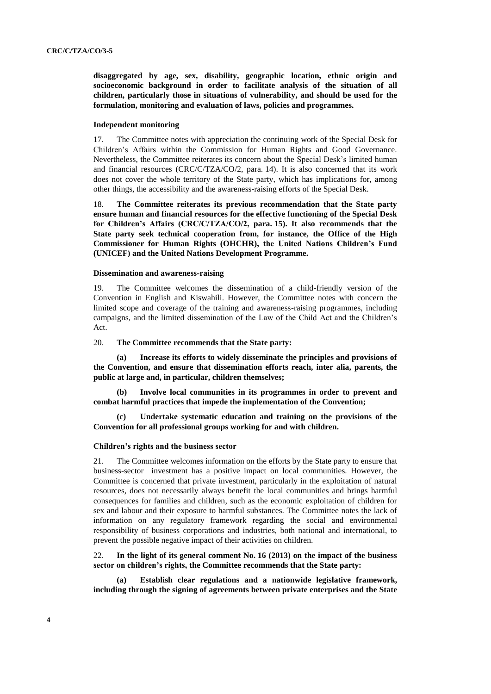**disaggregated by age, sex, disability, geographic location, ethnic origin and socioeconomic background in order to facilitate analysis of the situation of all children, particularly those in situations of vulnerability, and should be used for the formulation, monitoring and evaluation of laws, policies and programmes.** 

### **Independent monitoring**

17. The Committee notes with appreciation the continuing work of the Special Desk for Children's Affairs within the Commission for Human Rights and Good Governance. Nevertheless, the Committee reiterates its concern about the Special Desk's limited human and financial resources (CRC/C/TZA/CO/2, para. 14). It is also concerned that its work does not cover the whole territory of the State party, which has implications for, among other things, the accessibility and the awareness-raising efforts of the Special Desk.

18. **The Committee reiterates its previous recommendation that the State party ensure human and financial resources for the effective functioning of the Special Desk for Children's Affairs (CRC/C/TZA/CO/2, para. 15). It also recommends that the State party seek technical cooperation from, for instance, the Office of the High Commissioner for Human Rights (OHCHR), the United Nations Children's Fund (UNICEF) and the United Nations Development Programme.**

### **Dissemination and awareness-raising**

19. The Committee welcomes the dissemination of a child-friendly version of the Convention in English and Kiswahili. However, the Committee notes with concern the limited scope and coverage of the training and awareness-raising programmes, including campaigns, and the limited dissemination of the Law of the Child Act and the Children's Act.

#### 20. **The Committee recommends that the State party:**

**(a) Increase its efforts to widely disseminate the principles and provisions of the Convention, and ensure that dissemination efforts reach, inter alia, parents, the public at large and, in particular, children themselves;**

**(b) Involve local communities in its programmes in order to prevent and combat harmful practices that impede the implementation of the Convention;** 

**(c) Undertake systematic education and training on the provisions of the Convention for all professional groups working for and with children.** 

#### **Children's rights and the business sector**

21. The Committee welcomes information on the efforts by the State party to ensure that business-sector investment has a positive impact on local communities. However, the Committee is concerned that private investment, particularly in the exploitation of natural resources, does not necessarily always benefit the local communities and brings harmful consequences for families and children, such as the economic exploitation of children for sex and labour and their exposure to harmful substances. The Committee notes the lack of information on any regulatory framework regarding the social and environmental responsibility of business corporations and industries, both national and international, to prevent the possible negative impact of their activities on children.

22. **In the light of its general comment No. 16 (2013) on the impact of the business sector on children's rights, the Committee recommends that the State party:**

**(a) Establish clear regulations and a nationwide legislative framework, including through the signing of agreements between private enterprises and the State**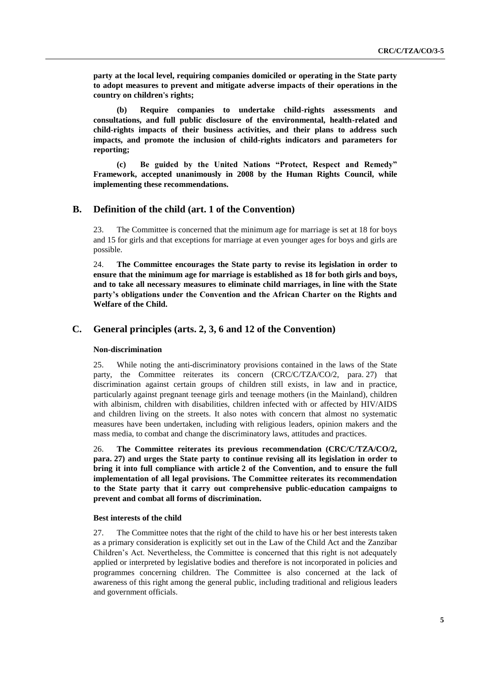**party at the local level, requiring companies domiciled or operating in the State party to adopt measures to prevent and mitigate adverse impacts of their operations in the country on children's rights;**

**(b) Require companies to undertake child-rights assessments and consultations, and full public disclosure of the environmental, health-related and child-rights impacts of their business activities, and their plans to address such impacts, and promote the inclusion of child-rights indicators and parameters for reporting;** 

**(c) Be guided by the United Nations "Protect, Respect and Remedy" Framework, accepted unanimously in 2008 by the Human Rights Council, while implementing these recommendations.** 

## **B. Definition of the child (art. 1 of the Convention)**

23. The Committee is concerned that the minimum age for marriage is set at 18 for boys and 15 for girls and that exceptions for marriage at even younger ages for boys and girls are possible.

24. **The Committee encourages the State party to revise its legislation in order to ensure that the minimum age for marriage is established as 18 for both girls and boys, and to take all necessary measures to eliminate child marriages, in line with the State party's obligations under the Convention and the African Charter on the Rights and Welfare of the Child.**

## **C. General principles (arts. 2, 3, 6 and 12 of the Convention)**

## **Non-discrimination**

25. While noting the anti-discriminatory provisions contained in the laws of the State party, the Committee reiterates its concern (CRC/C/TZA/CO/2, para. 27) that discrimination against certain groups of children still exists, in law and in practice, particularly against pregnant teenage girls and teenage mothers (in the Mainland), children with albinism, children with disabilities, children infected with or affected by HIV/AIDS and children living on the streets. It also notes with concern that almost no systematic measures have been undertaken, including with religious leaders, opinion makers and the mass media, to combat and change the discriminatory laws, attitudes and practices.

26. **The Committee reiterates its previous recommendation (CRC/C/TZA/CO/2, para. 27) and urges the State party to continue revising all its legislation in order to bring it into full compliance with article 2 of the Convention, and to ensure the full implementation of all legal provisions. The Committee reiterates its recommendation to the State party that it carry out comprehensive public-education campaigns to prevent and combat all forms of discrimination.** 

## **Best interests of the child**

27. The Committee notes that the right of the child to have his or her best interests taken as a primary consideration is explicitly set out in the Law of the Child Act and the Zanzibar Children's Act. Nevertheless, the Committee is concerned that this right is not adequately applied or interpreted by legislative bodies and therefore is not incorporated in policies and programmes concerning children. The Committee is also concerned at the lack of awareness of this right among the general public, including traditional and religious leaders and government officials.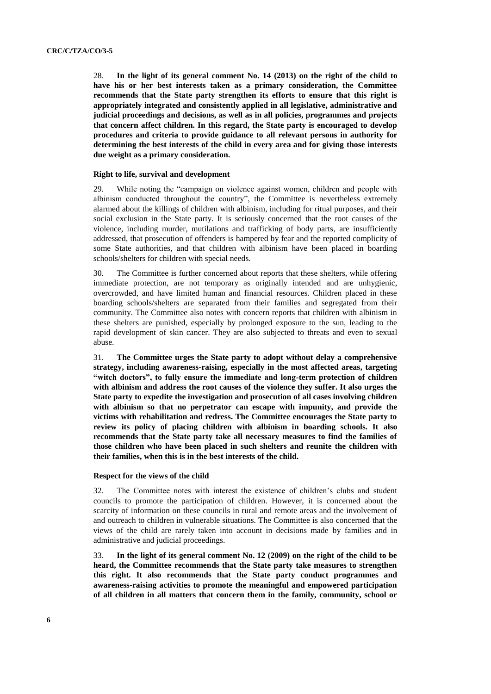28. **In the light of its general comment No. 14 (2013) on the right of the child to have his or her best interests taken as a primary consideration, the Committee recommends that the State party strengthen its efforts to ensure that this right is appropriately integrated and consistently applied in all legislative, administrative and judicial proceedings and decisions, as well as in all policies, programmes and projects that concern affect children. In this regard, the State party is encouraged to develop procedures and criteria to provide guidance to all relevant persons in authority for determining the best interests of the child in every area and for giving those interests due weight as a primary consideration.** 

### **Right to life, survival and development**

29. While noting the "campaign on violence against women, children and people with albinism conducted throughout the country", the Committee is nevertheless extremely alarmed about the killings of children with albinism, including for ritual purposes, and their social exclusion in the State party. It is seriously concerned that the root causes of the violence, including murder, mutilations and trafficking of body parts, are insufficiently addressed, that prosecution of offenders is hampered by fear and the reported complicity of some State authorities, and that children with albinism have been placed in boarding schools/shelters for children with special needs.

30. The Committee is further concerned about reports that these shelters, while offering immediate protection, are not temporary as originally intended and are unhygienic, overcrowded, and have limited human and financial resources. Children placed in these boarding schools/shelters are separated from their families and segregated from their community. The Committee also notes with concern reports that children with albinism in these shelters are punished, especially by prolonged exposure to the sun, leading to the rapid development of skin cancer. They are also subjected to threats and even to sexual abuse.

31. **The Committee urges the State party to adopt without delay a comprehensive strategy, including awareness-raising, especially in the most affected areas, targeting "witch doctors", to fully ensure the immediate and long-term protection of children with albinism and address the root causes of the violence they suffer. It also urges the State party to expedite the investigation and prosecution of all cases involving children with albinism so that no perpetrator can escape with impunity, and provide the victims with rehabilitation and redress. The Committee encourages the State party to review its policy of placing children with albinism in boarding schools. It also recommends that the State party take all necessary measures to find the families of those children who have been placed in such shelters and reunite the children with their families, when this is in the best interests of the child.** 

#### **Respect for the views of the child**

32. The Committee notes with interest the existence of children's clubs and student councils to promote the participation of children. However, it is concerned about the scarcity of information on these councils in rural and remote areas and the involvement of and outreach to children in vulnerable situations. The Committee is also concerned that the views of the child are rarely taken into account in decisions made by families and in administrative and judicial proceedings.

33. **In the light of its general comment No. 12 (2009) on the right of the child to be heard, the Committee recommends that the State party take measures to strengthen this right. It also recommends that the State party conduct programmes and awareness-raising activities to promote the meaningful and empowered participation of all children in all matters that concern them in the family, community, school or**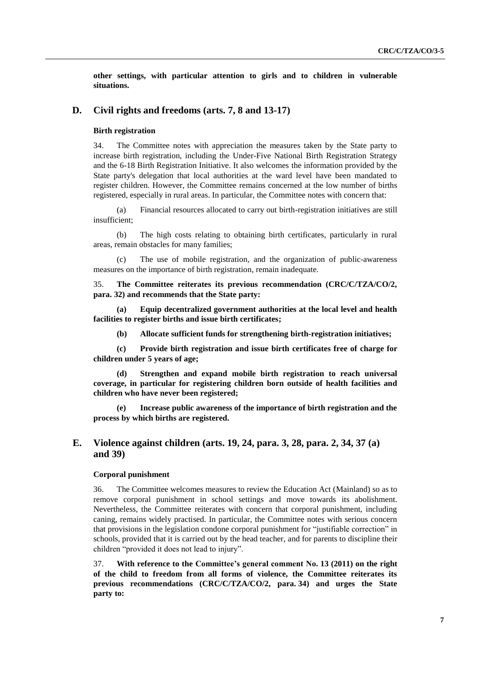**other settings, with particular attention to girls and to children in vulnerable situations.**

## **D. Civil rights and freedoms (arts. 7, 8 and 13-17)**

### **Birth registration**

34. The Committee notes with appreciation the measures taken by the State party to increase birth registration, including the Under-Five National Birth Registration Strategy and the 6-18 Birth Registration Initiative. It also welcomes the information provided by the State party's delegation that local authorities at the ward level have been mandated to register children. However, the Committee remains concerned at the low number of births registered, especially in rural areas. In particular, the Committee notes with concern that:

(a) Financial resources allocated to carry out birth-registration initiatives are still insufficient;

(b) The high costs relating to obtaining birth certificates, particularly in rural areas, remain obstacles for many families;

(c) The use of mobile registration, and the organization of public-awareness measures on the importance of birth registration, remain inadequate.

35. **The Committee reiterates its previous recommendation (CRC/C/TZA/CO/2, para. 32) and recommends that the State party:**

**(a) Equip decentralized government authorities at the local level and health facilities to register births and issue birth certificates;** 

**(b) Allocate sufficient funds for strengthening birth-registration initiatives;**

**(c) Provide birth registration and issue birth certificates free of charge for children under 5 years of age;**

**(d) Strengthen and expand mobile birth registration to reach universal coverage, in particular for registering children born outside of health facilities and children who have never been registered;** 

**(e) Increase public awareness of the importance of birth registration and the process by which births are registered.** 

## **E. Violence against children (arts. 19, 24, para. 3, 28, para. 2, 34, 37 (a) and 39)**

## **Corporal punishment**

36. The Committee welcomes measures to review the Education Act (Mainland) so as to remove corporal punishment in school settings and move towards its abolishment. Nevertheless, the Committee reiterates with concern that corporal punishment, including caning, remains widely practised. In particular, the Committee notes with serious concern that provisions in the legislation condone corporal punishment for "justifiable correction" in schools, provided that it is carried out by the head teacher, and for parents to discipline their children "provided it does not lead to injury".

37. **With reference to the Committee's general comment No. 13 (2011) on the right of the child to freedom from all forms of violence, the Committee reiterates its previous recommendations (CRC/C/TZA/CO/2, para. 34) and urges the State party to:**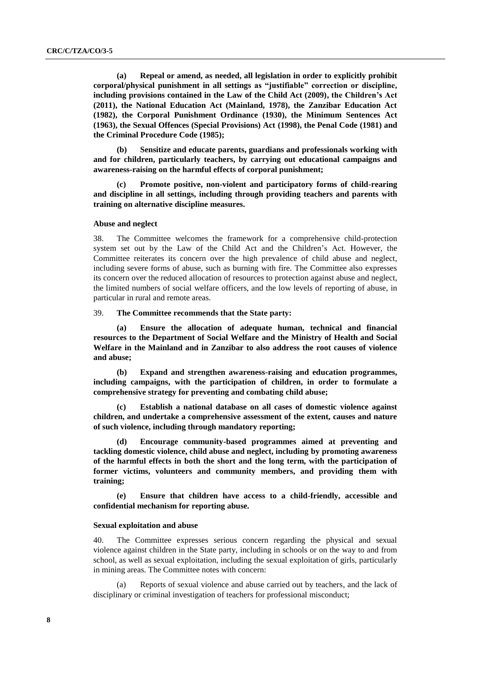**(a) Repeal or amend, as needed, all legislation in order to explicitly prohibit corporal/physical punishment in all settings as "justifiable" correction or discipline, including provisions contained in the Law of the Child Act (2009), the Children's Act (2011), the National Education Act (Mainland, 1978), the Zanzibar Education Act (1982), the Corporal Punishment Ordinance (1930), the Minimum Sentences Act (1963), the Sexual Offences (Special Provisions) Act (1998), the Penal Code (1981) and the Criminal Procedure Code (1985);** 

**(b) Sensitize and educate parents, guardians and professionals working with and for children, particularly teachers, by carrying out educational campaigns and awareness-raising on the harmful effects of corporal punishment;** 

**(c) Promote positive, non-violent and participatory forms of child-rearing and discipline in all settings, including through providing teachers and parents with training on alternative discipline measures.** 

#### **Abuse and neglect**

38. The Committee welcomes the framework for a comprehensive child-protection system set out by the Law of the Child Act and the Children's Act. However, the Committee reiterates its concern over the high prevalence of child abuse and neglect, including severe forms of abuse, such as burning with fire. The Committee also expresses its concern over the reduced allocation of resources to protection against abuse and neglect, the limited numbers of social welfare officers, and the low levels of reporting of abuse, in particular in rural and remote areas.

## 39. **The Committee recommends that the State party:**

**(a) Ensure the allocation of adequate human, technical and financial resources to the Department of Social Welfare and the Ministry of Health and Social Welfare in the Mainland and in Zanzibar to also address the root causes of violence and abuse;** 

**(b) Expand and strengthen awareness-raising and education programmes, including campaigns, with the participation of children, in order to formulate a comprehensive strategy for preventing and combating child abuse;**

**(c) Establish a national database on all cases of domestic violence against children, and undertake a comprehensive assessment of the extent, causes and nature of such violence, including through mandatory reporting;** 

**(d) Encourage community-based programmes aimed at preventing and tackling domestic violence, child abuse and neglect, including by promoting awareness of the harmful effects in both the short and the long term, with the participation of former victims, volunteers and community members, and providing them with training;**

**(e) Ensure that children have access to a child-friendly, accessible and confidential mechanism for reporting abuse.**

#### **Sexual exploitation and abuse**

40. The Committee expresses serious concern regarding the physical and sexual violence against children in the State party, including in schools or on the way to and from school, as well as sexual exploitation, including the sexual exploitation of girls, particularly in mining areas. The Committee notes with concern:

Reports of sexual violence and abuse carried out by teachers, and the lack of disciplinary or criminal investigation of teachers for professional misconduct;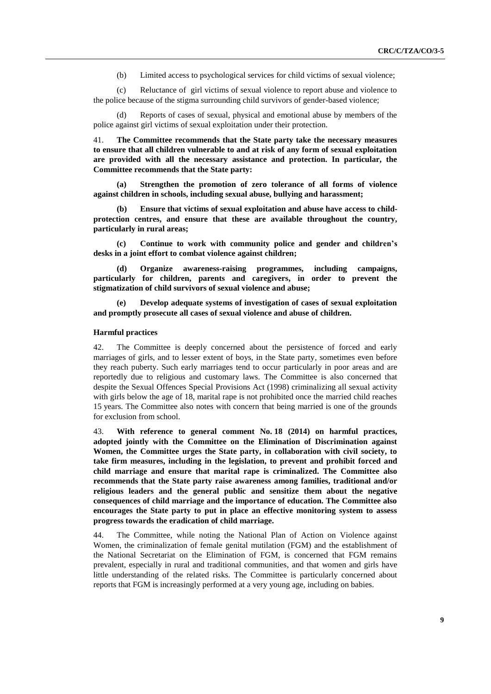(b) Limited access to psychological services for child victims of sexual violence;

(c) Reluctance of girl victims of sexual violence to report abuse and violence to the police because of the stigma surrounding child survivors of gender-based violence;

(d) Reports of cases of sexual, physical and emotional abuse by members of the police against girl victims of sexual exploitation under their protection.

41. **The Committee recommends that the State party take the necessary measures to ensure that all children vulnerable to and at risk of any form of sexual exploitation are provided with all the necessary assistance and protection. In particular, the Committee recommends that the State party:**

**(a) Strengthen the promotion of zero tolerance of all forms of violence against children in schools, including sexual abuse, bullying and harassment;** 

**(b) Ensure that victims of sexual exploitation and abuse have access to childprotection centres, and ensure that these are available throughout the country, particularly in rural areas;** 

**(c) Continue to work with community police and gender and children's desks in a joint effort to combat violence against children;** 

**(d) Organize awareness-raising programmes, including campaigns, particularly for children, parents and caregivers, in order to prevent the stigmatization of child survivors of sexual violence and abuse;** 

**(e) Develop adequate systems of investigation of cases of sexual exploitation and promptly prosecute all cases of sexual violence and abuse of children.** 

### **Harmful practices**

42. The Committee is deeply concerned about the persistence of forced and early marriages of girls, and to lesser extent of boys, in the State party, sometimes even before they reach puberty. Such early marriages tend to occur particularly in poor areas and are reportedly due to religious and customary laws. The Committee is also concerned that despite the Sexual Offences Special Provisions Act (1998) criminalizing all sexual activity with girls below the age of 18, marital rape is not prohibited once the married child reaches 15 years. The Committee also notes with concern that being married is one of the grounds for exclusion from school.

43. **With reference to general comment No. 18 (2014) on harmful practices, adopted jointly with the Committee on the Elimination of Discrimination against Women, the Committee urges the State party, in collaboration with civil society, to take firm measures, including in the legislation, to prevent and prohibit forced and child marriage and ensure that marital rape is criminalized. The Committee also recommends that the State party raise awareness among families, traditional and/or religious leaders and the general public and sensitize them about the negative consequences of child marriage and the importance of education. The Committee also encourages the State party to put in place an effective monitoring system to assess progress towards the eradication of child marriage.** 

44. The Committee, while noting the National Plan of Action on Violence against Women, the criminalization of female genital mutilation (FGM) and the establishment of the National Secretariat on the Elimination of FGM, is concerned that FGM remains prevalent, especially in rural and traditional communities, and that women and girls have little understanding of the related risks. The Committee is particularly concerned about reports that FGM is increasingly performed at a very young age, including on babies.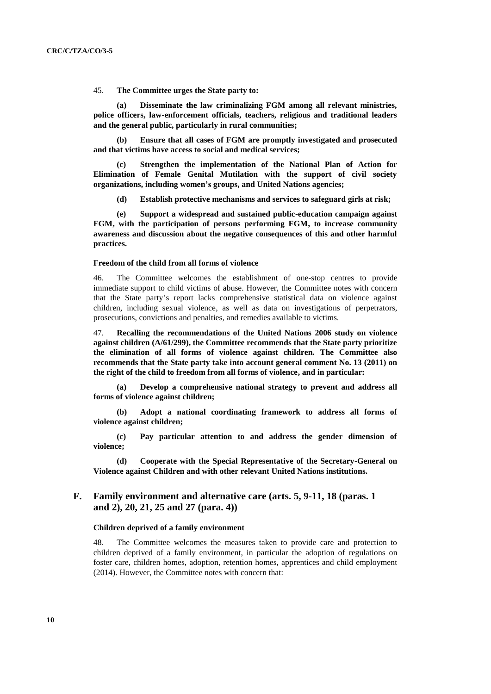45. **The Committee urges the State party to:** 

**(a) Disseminate the law criminalizing FGM among all relevant ministries, police officers, law-enforcement officials, teachers, religious and traditional leaders and the general public, particularly in rural communities;**

**(b) Ensure that all cases of FGM are promptly investigated and prosecuted and that victims have access to social and medical services;** 

**(c) Strengthen the implementation of the National Plan of Action for Elimination of Female Genital Mutilation with the support of civil society organizations, including women's groups, and United Nations agencies;**

**(d) Establish protective mechanisms and services to safeguard girls at risk;**

**(e) Support a widespread and sustained public-education campaign against FGM, with the participation of persons performing FGM, to increase community awareness and discussion about the negative consequences of this and other harmful practices.**

#### **Freedom of the child from all forms of violence**

46. The Committee welcomes the establishment of one-stop centres to provide immediate support to child victims of abuse. However, the Committee notes with concern that the State party's report lacks comprehensive statistical data on violence against children, including sexual violence, as well as data on investigations of perpetrators, prosecutions, convictions and penalties, and remedies available to victims.

47. **Recalling the recommendations of the United Nations 2006 study on violence against children (A/61/299), the Committee recommends that the State party prioritize the elimination of all forms of violence against children. The Committee also recommends that the State party take into account general comment No. 13 (2011) on the right of the child to freedom from all forms of violence, and in particular:**

**(a) Develop a comprehensive national strategy to prevent and address all forms of violence against children;**

**(b) Adopt a national coordinating framework to address all forms of violence against children;**

**(c) Pay particular attention to and address the gender dimension of violence;**

**(d) Cooperate with the Special Representative of the Secretary-General on Violence against Children and with other relevant United Nations institutions.**

## **F. Family environment and alternative care (arts. 5, 9-11, 18 (paras. 1 and 2), 20, 21, 25 and 27 (para. 4))**

### **Children deprived of a family environment**

48. The Committee welcomes the measures taken to provide care and protection to children deprived of a family environment, in particular the adoption of regulations on foster care, children homes, adoption, retention homes, apprentices and child employment (2014). However, the Committee notes with concern that: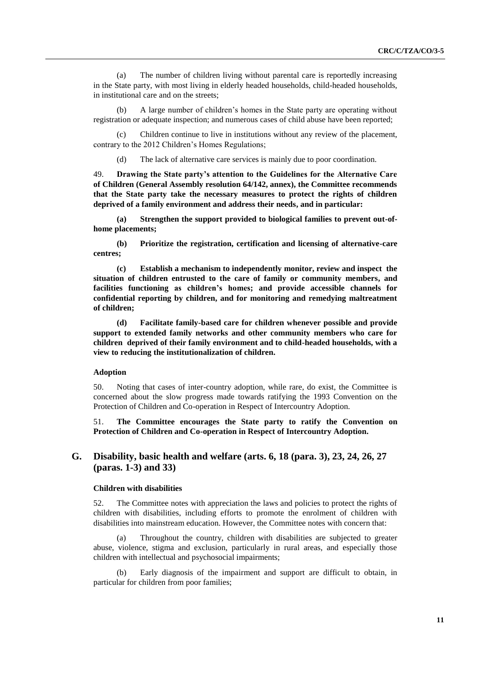(a) The number of children living without parental care is reportedly increasing in the State party, with most living in elderly headed households, child-headed households, in institutional care and on the streets;

(b) A large number of children's homes in the State party are operating without registration or adequate inspection; and numerous cases of child abuse have been reported;

(c) Children continue to live in institutions without any review of the placement, contrary to the 2012 Children's Homes Regulations;

(d) The lack of alternative care services is mainly due to poor coordination.

49. **Drawing the State party's attention to the Guidelines for the Alternative Care of Children (General Assembly resolution 64/142, annex), the Committee recommends that the State party take the necessary measures to protect the rights of children deprived of a family environment and address their needs, and in particular:** 

**(a) Strengthen the support provided to biological families to prevent out-ofhome placements;** 

**(b) Prioritize the registration, certification and licensing of alternative-care centres;**

**(c) Establish a mechanism to independently monitor, review and inspect the situation of children entrusted to the care of family or community members, and facilities functioning as children's homes; and provide accessible channels for confidential reporting by children, and for monitoring and remedying maltreatment of children;** 

**(d) Facilitate family-based care for children whenever possible and provide support to extended family networks and other community members who care for children deprived of their family environment and to child-headed households, with a view to reducing the institutionalization of children.** 

### **Adoption**

50. Noting that cases of inter-country adoption, while rare, do exist, the Committee is concerned about the slow progress made towards ratifying the 1993 Convention on the Protection of Children and Co-operation in Respect of Intercountry Adoption.

51. **The Committee encourages the State party to ratify the Convention on Protection of Children and Co-operation in Respect of Intercountry Adoption.**

## **G. Disability, basic health and welfare (arts. 6, 18 (para. 3), 23, 24, 26, 27 (paras. 1-3) and 33)**

## **Children with disabilities**

52. The Committee notes with appreciation the laws and policies to protect the rights of children with disabilities, including efforts to promote the enrolment of children with disabilities into mainstream education. However, the Committee notes with concern that:

(a) Throughout the country, children with disabilities are subjected to greater abuse, violence, stigma and exclusion, particularly in rural areas, and especially those children with intellectual and psychosocial impairments;

Early diagnosis of the impairment and support are difficult to obtain, in particular for children from poor families;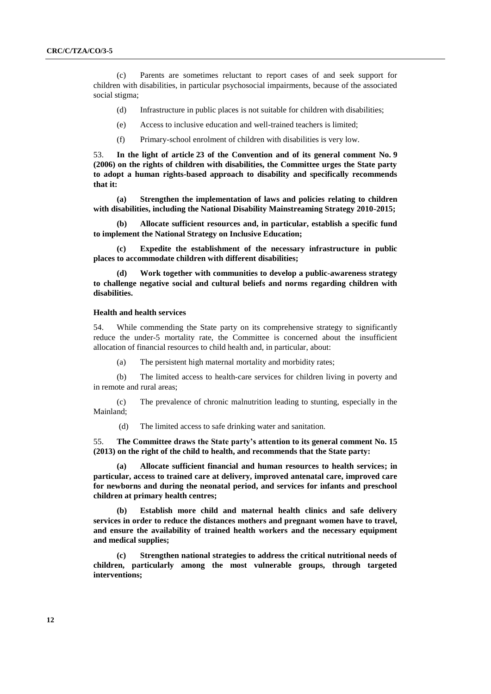(c) Parents are sometimes reluctant to report cases of and seek support for children with disabilities, in particular psychosocial impairments, because of the associated social stigma;

- (d) Infrastructure in public places is not suitable for children with disabilities;
- (e) Access to inclusive education and well-trained teachers is limited;
- (f) Primary-school enrolment of children with disabilities is very low.

53. **In the light of article 23 of the Convention and of its general comment No. 9 (2006) on the rights of children with disabilities, the Committee urges the State party to adopt a human rights-based approach to disability and specifically recommends that it:** 

**(a) Strengthen the implementation of laws and policies relating to children with disabilities, including the National Disability Mainstreaming Strategy 2010-2015;**

**(b) Allocate sufficient resources and, in particular, establish a specific fund to implement the National Strategy on Inclusive Education;** 

**(c) Expedite the establishment of the necessary infrastructure in public places to accommodate children with different disabilities;** 

**(d) Work together with communities to develop a public-awareness strategy to challenge negative social and cultural beliefs and norms regarding children with disabilities.**

### **Health and health services**

54. While commending the State party on its comprehensive strategy to significantly reduce the under-5 mortality rate, the Committee is concerned about the insufficient allocation of financial resources to child health and, in particular, about:

(a) The persistent high maternal mortality and morbidity rates;

(b) The limited access to health-care services for children living in poverty and in remote and rural areas;

(c) The prevalence of chronic malnutrition leading to stunting, especially in the Mainland;

(d) The limited access to safe drinking water and sanitation.

55. **The Committee draws the State party's attention to its general comment No. 15 (2013) on the right of the child to health, and recommends that the State party:**

**(a) Allocate sufficient financial and human resources to health services; in particular, access to trained care at delivery, improved antenatal care, improved care for newborns and during the neonatal period, and services for infants and preschool children at primary health centres;**

**(b) Establish more child and maternal health clinics and safe delivery services in order to reduce the distances mothers and pregnant women have to travel, and ensure the availability of trained health workers and the necessary equipment and medical supplies;**

**(c) Strengthen national strategies to address the critical nutritional needs of children, particularly among the most vulnerable groups, through targeted interventions;**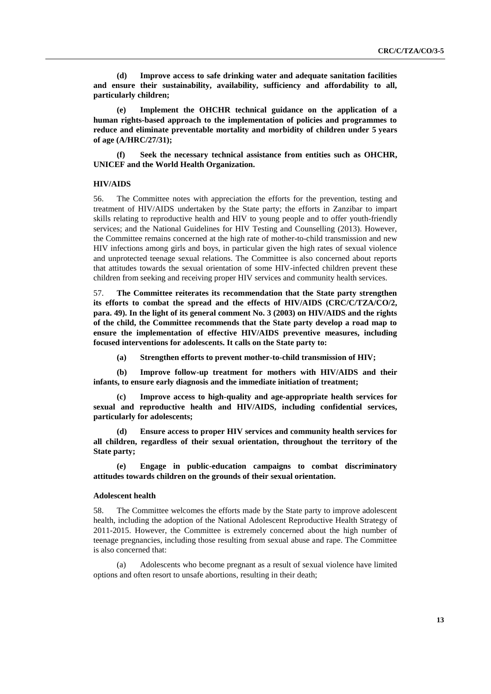**(d) Improve access to safe drinking water and adequate sanitation facilities and ensure their sustainability, availability, sufficiency and affordability to all, particularly children;**

**(e) Implement the OHCHR technical guidance on the application of a human rights-based approach to the implementation of policies and programmes to reduce and eliminate preventable mortality and morbidity of children under 5 years of age (A/HRC/27/31);** 

**(f) Seek the necessary technical assistance from entities such as OHCHR, UNICEF and the World Health Organization.**

### **HIV/AIDS**

56. The Committee notes with appreciation the efforts for the prevention, testing and treatment of HIV/AIDS undertaken by the State party; the efforts in Zanzibar to impart skills relating to reproductive health and HIV to young people and to offer youth-friendly services; and the National Guidelines for HIV Testing and Counselling (2013). However, the Committee remains concerned at the high rate of mother-to-child transmission and new HIV infections among girls and boys, in particular given the high rates of sexual violence and unprotected teenage sexual relations. The Committee is also concerned about reports that attitudes towards the sexual orientation of some HIV-infected children prevent these children from seeking and receiving proper HIV services and community health services.

57. **The Committee reiterates its recommendation that the State party strengthen its efforts to combat the spread and the effects of HIV/AIDS (CRC/C/TZA/CO/2, para. 49). In the light of its general comment No. 3 (2003) on HIV/AIDS and the rights of the child, the Committee recommends that the State party develop a road map to ensure the implementation of effective HIV/AIDS preventive measures, including focused interventions for adolescents. It calls on the State party to:**

**(a) Strengthen efforts to prevent mother-to-child transmission of HIV;**

**(b) Improve follow-up treatment for mothers with HIV/AIDS and their infants, to ensure early diagnosis and the immediate initiation of treatment;**

**(c) Improve access to high-quality and age-appropriate health services for sexual and reproductive health and HIV/AIDS, including confidential services, particularly for adolescents;**

**(d) Ensure access to proper HIV services and community health services for all children, regardless of their sexual orientation, throughout the territory of the State party;**

**(e) Engage in public-education campaigns to combat discriminatory attitudes towards children on the grounds of their sexual orientation.**

### **Adolescent health**

58. The Committee welcomes the efforts made by the State party to improve adolescent health, including the adoption of the National Adolescent Reproductive Health Strategy of 2011-2015. However, the Committee is extremely concerned about the high number of teenage pregnancies, including those resulting from sexual abuse and rape. The Committee is also concerned that:

(a) Adolescents who become pregnant as a result of sexual violence have limited options and often resort to unsafe abortions, resulting in their death;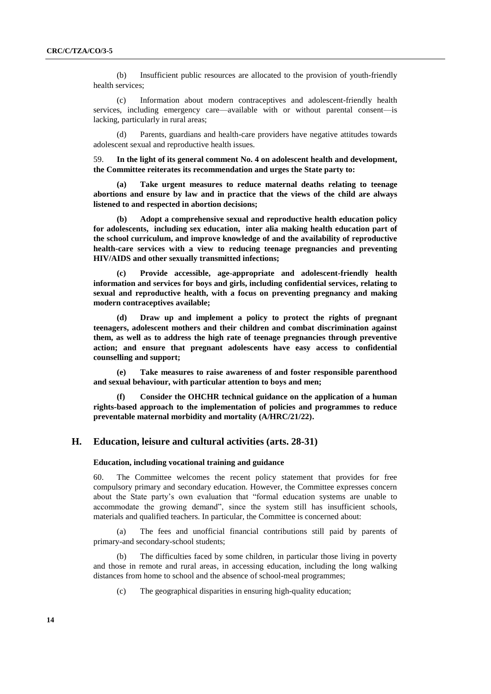(b) Insufficient public resources are allocated to the provision of youth-friendly health services;

(c) Information about modern contraceptives and adolescent-friendly health services, including emergency care—available with or without parental consent—is lacking, particularly in rural areas;

(d) Parents, guardians and health-care providers have negative attitudes towards adolescent sexual and reproductive health issues.

59. **In the light of its general comment No. 4 on adolescent health and development, the Committee reiterates its recommendation and urges the State party to:**

**(a) Take urgent measures to reduce maternal deaths relating to teenage abortions and ensure by law and in practice that the views of the child are always listened to and respected in abortion decisions;**

**(b) Adopt a comprehensive sexual and reproductive health education policy for adolescents, including sex education, inter alia making health education part of the school curriculum, and improve knowledge of and the availability of reproductive health-care services with a view to reducing teenage pregnancies and preventing HIV/AIDS and other sexually transmitted infections;**

**(c) Provide accessible, age-appropriate and adolescent-friendly health information and services for boys and girls, including confidential services, relating to sexual and reproductive health, with a focus on preventing pregnancy and making modern contraceptives available;** 

**(d) Draw up and implement a policy to protect the rights of pregnant teenagers, adolescent mothers and their children and combat discrimination against them, as well as to address the high rate of teenage pregnancies through preventive action; and ensure that pregnant adolescents have easy access to confidential counselling and support;** 

**(e) Take measures to raise awareness of and foster responsible parenthood and sexual behaviour, with particular attention to boys and men;** 

**(f) Consider the OHCHR technical guidance on the application of a human rights-based approach to the implementation of policies and programmes to reduce preventable maternal morbidity and mortality (A/HRC/21/22).** 

## **H. Education, leisure and cultural activities (arts. 28-31)**

#### **Education, including vocational training and guidance**

60. The Committee welcomes the recent policy statement that provides for free compulsory primary and secondary education. However, the Committee expresses concern about the State party's own evaluation that "formal education systems are unable to accommodate the growing demand", since the system still has insufficient schools, materials and qualified teachers. In particular, the Committee is concerned about:

The fees and unofficial financial contributions still paid by parents of primary-and secondary-school students;

(b) The difficulties faced by some children, in particular those living in poverty and those in remote and rural areas, in accessing education, including the long walking distances from home to school and the absence of school-meal programmes;

(c) The geographical disparities in ensuring high-quality education;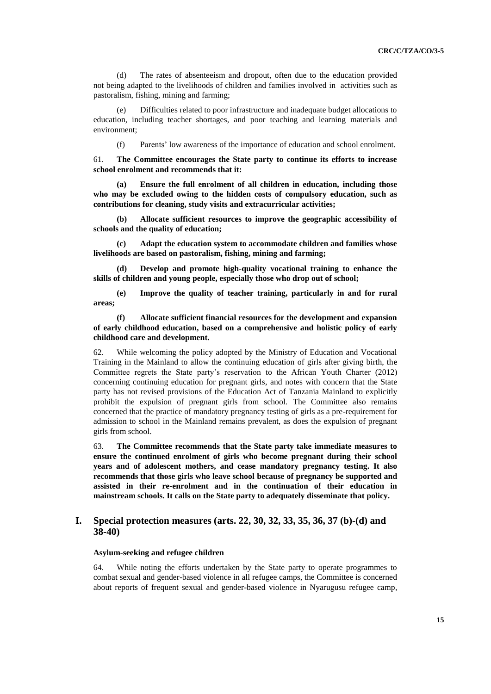(d) The rates of absenteeism and dropout, often due to the education provided not being adapted to the livelihoods of children and families involved in activities such as pastoralism, fishing, mining and farming;

Difficulties related to poor infrastructure and inadequate budget allocations to education, including teacher shortages, and poor teaching and learning materials and environment;

(f) Parents' low awareness of the importance of education and school enrolment.

61. **The Committee encourages the State party to continue its efforts to increase school enrolment and recommends that it:** 

**(a) Ensure the full enrolment of all children in education, including those who may be excluded owing to the hidden costs of compulsory education, such as contributions for cleaning, study visits and extracurricular activities;** 

**(b) Allocate sufficient resources to improve the geographic accessibility of schools and the quality of education;** 

**(c) Adapt the education system to accommodate children and families whose livelihoods are based on pastoralism, fishing, mining and farming;** 

**(d) Develop and promote high-quality vocational training to enhance the skills of children and young people, especially those who drop out of school;**

**(e) Improve the quality of teacher training, particularly in and for rural areas;**

## **(f) Allocate sufficient financial resources for the development and expansion of early childhood education, based on a comprehensive and holistic policy of early childhood care and development.**

62. While welcoming the policy adopted by the Ministry of Education and Vocational Training in the Mainland to allow the continuing education of girls after giving birth, the Committee regrets the State party's reservation to the African Youth Charter (2012) concerning continuing education for pregnant girls, and notes with concern that the State party has not revised provisions of the Education Act of Tanzania Mainland to explicitly prohibit the expulsion of pregnant girls from school. The Committee also remains concerned that the practice of mandatory pregnancy testing of girls as a pre-requirement for admission to school in the Mainland remains prevalent, as does the expulsion of pregnant girls from school.

63. **The Committee recommends that the State party take immediate measures to ensure the continued enrolment of girls who become pregnant during their school years and of adolescent mothers, and cease mandatory pregnancy testing. It also recommends that those girls who leave school because of pregnancy be supported and assisted in their re-enrolment and in the continuation of their education in mainstream schools. It calls on the State party to adequately disseminate that policy.** 

## **I. Special protection measures (arts. 22, 30, 32, 33, 35, 36, 37 (b)-(d) and 38-40)**

### **Asylum-seeking and refugee children**

64. While noting the efforts undertaken by the State party to operate programmes to combat sexual and gender-based violence in all refugee camps, the Committee is concerned about reports of frequent sexual and gender-based violence in Nyarugusu refugee camp,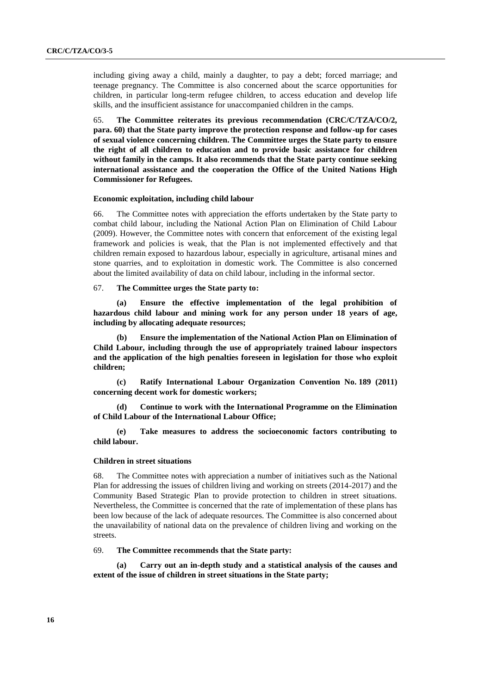including giving away a child, mainly a daughter, to pay a debt; forced marriage; and teenage pregnancy. The Committee is also concerned about the scarce opportunities for children, in particular long-term refugee children, to access education and develop life skills, and the insufficient assistance for unaccompanied children in the camps.

65. **The Committee reiterates its previous recommendation (CRC/C/TZA/CO/2, para. 60) that the State party improve the protection response and follow-up for cases of sexual violence concerning children. The Committee urges the State party to ensure the right of all children to education and to provide basic assistance for children without family in the camps. It also recommends that the State party continue seeking international assistance and the cooperation the Office of the United Nations High Commissioner for Refugees.** 

### **Economic exploitation, including child labour**

66. The Committee notes with appreciation the efforts undertaken by the State party to combat child labour, including the National Action Plan on Elimination of Child Labour (2009). However, the Committee notes with concern that enforcement of the existing legal framework and policies is weak, that the Plan is not implemented effectively and that children remain exposed to hazardous labour, especially in agriculture, artisanal mines and stone quarries, and to exploitation in domestic work. The Committee is also concerned about the limited availability of data on child labour, including in the informal sector.

#### 67. **The Committee urges the State party to:**

**(a) Ensure the effective implementation of the legal prohibition of hazardous child labour and mining work for any person under 18 years of age, including by allocating adequate resources;**

**(b) Ensure the implementation of the National Action Plan on Elimination of Child Labour, including through the use of appropriately trained labour inspectors and the application of the high penalties foreseen in legislation for those who exploit children;**

**(c) Ratify International Labour Organization Convention No. 189 (2011) concerning decent work for domestic workers;**

**(d) Continue to work with the International Programme on the Elimination of Child Labour of the International Labour Office;** 

**(e) Take measures to address the socioeconomic factors contributing to child labour.** 

#### **Children in street situations**

68. The Committee notes with appreciation a number of initiatives such as the National Plan for addressing the issues of children living and working on streets (2014-2017) and the Community Based Strategic Plan to provide protection to children in street situations. Nevertheless, the Committee is concerned that the rate of implementation of these plans has been low because of the lack of adequate resources. The Committee is also concerned about the unavailability of national data on the prevalence of children living and working on the streets.

### 69. **The Committee recommends that the State party:**

**(a) Carry out an in-depth study and a statistical analysis of the causes and extent of the issue of children in street situations in the State party;**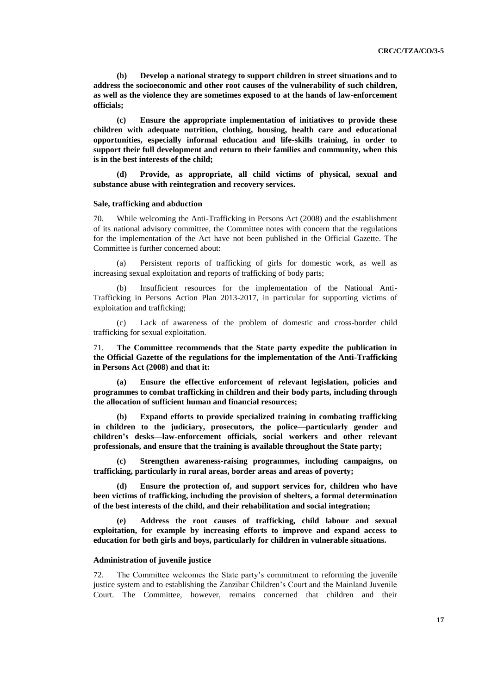**(b) Develop a national strategy to support children in street situations and to address the socioeconomic and other root causes of the vulnerability of such children, as well as the violence they are sometimes exposed to at the hands of law-enforcement officials;**

**(c) Ensure the appropriate implementation of initiatives to provide these children with adequate nutrition, clothing, housing, health care and educational opportunities, especially informal education and life-skills training, in order to support their full development and return to their families and community, when this is in the best interests of the child;** 

**(d) Provide, as appropriate, all child victims of physical, sexual and substance abuse with reintegration and recovery services.**

### **Sale, trafficking and abduction**

70. While welcoming the Anti-Trafficking in Persons Act (2008) and the establishment of its national advisory committee, the Committee notes with concern that the regulations for the implementation of the Act have not been published in the Official Gazette. The Committee is further concerned about:

(a) Persistent reports of trafficking of girls for domestic work, as well as increasing sexual exploitation and reports of trafficking of body parts;

(b) Insufficient resources for the implementation of the National Anti-Trafficking in Persons Action Plan 2013-2017, in particular for supporting victims of exploitation and trafficking;

(c) Lack of awareness of the problem of domestic and cross-border child trafficking for sexual exploitation.

71. **The Committee recommends that the State party expedite the publication in the Official Gazette of the regulations for the implementation of the Anti-Trafficking in Persons Act (2008) and that it:** 

**(a) Ensure the effective enforcement of relevant legislation, policies and programmes to combat trafficking in children and their body parts, including through the allocation of sufficient human and financial resources;** 

**(b) Expand efforts to provide specialized training in combating trafficking in children to the judiciary, prosecutors, the police—particularly gender and children's desks—law-enforcement officials, social workers and other relevant professionals, and ensure that the training is available throughout the State party;**

**(c) Strengthen awareness-raising programmes, including campaigns, on trafficking, particularly in rural areas, border areas and areas of poverty;**

**(d) Ensure the protection of, and support services for, children who have been victims of trafficking, including the provision of shelters, a formal determination of the best interests of the child, and their rehabilitation and social integration;** 

**(e) Address the root causes of trafficking, child labour and sexual exploitation, for example by increasing efforts to improve and expand access to education for both girls and boys, particularly for children in vulnerable situations.**

#### **Administration of juvenile justice**

72. The Committee welcomes the State party's commitment to reforming the juvenile justice system and to establishing the Zanzibar Children's Court and the Mainland Juvenile Court. The Committee, however, remains concerned that children and their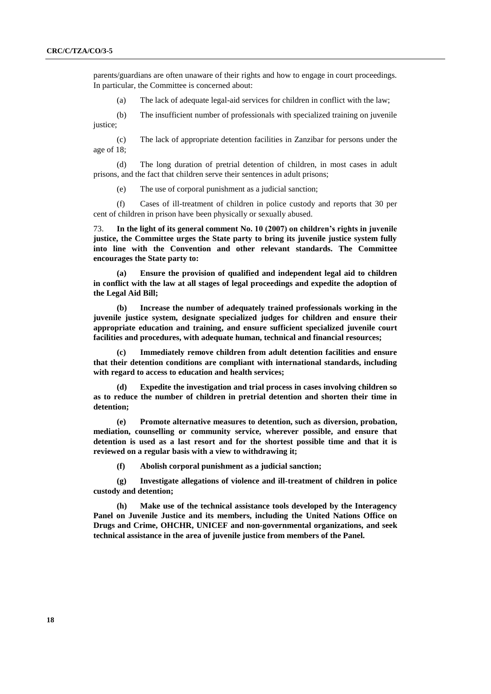parents/guardians are often unaware of their rights and how to engage in court proceedings. In particular, the Committee is concerned about:

(a) The lack of adequate legal-aid services for children in conflict with the law;

(b) The insufficient number of professionals with specialized training on juvenile justice;

(c) The lack of appropriate detention facilities in Zanzibar for persons under the age of 18;

(d) The long duration of pretrial detention of children, in most cases in adult prisons, and the fact that children serve their sentences in adult prisons;

(e) The use of corporal punishment as a judicial sanction;

(f) Cases of ill-treatment of children in police custody and reports that 30 per cent of children in prison have been physically or sexually abused.

73. **In the light of its general comment No. 10 (2007) on children's rights in juvenile justice, the Committee urges the State party to bring its juvenile justice system fully into line with the Convention and other relevant standards. The Committee encourages the State party to:**

**(a) Ensure the provision of qualified and independent legal aid to children in conflict with the law at all stages of legal proceedings and expedite the adoption of the Legal Aid Bill;**

**(b) Increase the number of adequately trained professionals working in the juvenile justice system, designate specialized judges for children and ensure their appropriate education and training, and ensure sufficient specialized juvenile court facilities and procedures, with adequate human, technical and financial resources;**

**(c) Immediately remove children from adult detention facilities and ensure that their detention conditions are compliant with international standards, including with regard to access to education and health services;** 

**(d) Expedite the investigation and trial process in cases involving children so as to reduce the number of children in pretrial detention and shorten their time in detention;**

**(e) Promote alternative measures to detention, such as diversion, probation, mediation, counselling or community service, wherever possible, and ensure that detention is used as a last resort and for the shortest possible time and that it is reviewed on a regular basis with a view to withdrawing it;** 

**(f) Abolish corporal punishment as a judicial sanction;**

**(g) Investigate allegations of violence and ill-treatment of children in police custody and detention;**

**(h) Make use of the technical assistance tools developed by the Interagency Panel on Juvenile Justice and its members, including the United Nations Office on Drugs and Crime, OHCHR, UNICEF and non-governmental organizations, and seek technical assistance in the area of juvenile justice from members of the Panel.**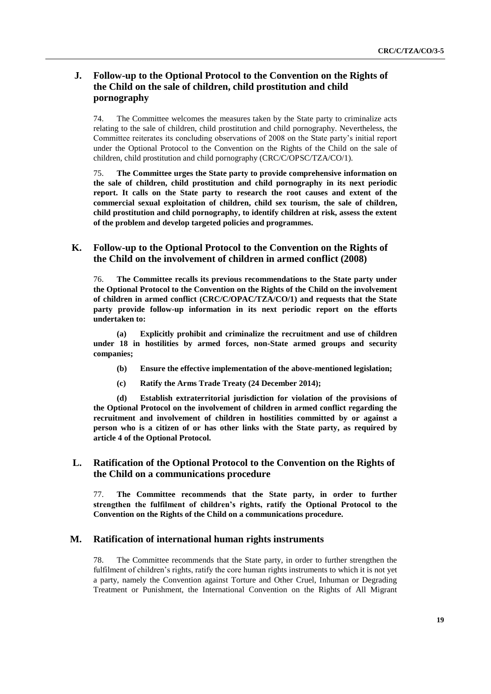## **J. Follow-up to the Optional Protocol to the Convention on the Rights of the Child on the sale of children, child prostitution and child pornography**

74. The Committee welcomes the measures taken by the State party to criminalize acts relating to the sale of children, child prostitution and child pornography. Nevertheless, the Committee reiterates its concluding observations of 2008 on the State party's initial report under the Optional Protocol to the Convention on the Rights of the Child on the sale of children, child prostitution and child pornography (CRC/C/OPSC/TZA/CO/1).

75. **The Committee urges the State party to provide comprehensive information on the sale of children, child prostitution and child pornography in its next periodic report. It calls on the State party to research the root causes and extent of the commercial sexual exploitation of children, child sex tourism, the sale of children, child prostitution and child pornography, to identify children at risk, assess the extent of the problem and develop targeted policies and programmes.**

## **K. Follow-up to the Optional Protocol to the Convention on the Rights of the Child on the involvement of children in armed conflict (2008)**

76. **The Committee recalls its previous recommendations to the State party under the Optional Protocol to the Convention on the Rights of the Child on the involvement of children in armed conflict (CRC/C/OPAC/TZA/CO/1) and requests that the State party provide follow-up information in its next periodic report on the efforts undertaken to:**

**(a) Explicitly prohibit and criminalize the recruitment and use of children under 18 in hostilities by armed forces, non-State armed groups and security companies;**

- **(b) Ensure the effective implementation of the above-mentioned legislation;**
- **(c) Ratify the Arms Trade Treaty (24 December 2014);**

**(d) Establish extraterritorial jurisdiction for violation of the provisions of the Optional Protocol on the involvement of children in armed conflict regarding the recruitment and involvement of children in hostilities committed by or against a person who is a citizen of or has other links with the State party, as required by article 4 of the Optional Protocol.**

## **L. Ratification of the Optional Protocol to the Convention on the Rights of the Child on a communications procedure**

77. **The Committee recommends that the State party, in order to further strengthen the fulfilment of children's rights, ratify the Optional Protocol to the Convention on the Rights of the Child on a communications procedure.** 

## **M. Ratification of international human rights instruments**

78. The Committee recommends that the State party, in order to further strengthen the fulfilment of children's rights, ratify the core human rights instruments to which it is not yet a party, namely the Convention against Torture and Other Cruel, Inhuman or Degrading Treatment or Punishment, the International Convention on the Rights of All Migrant